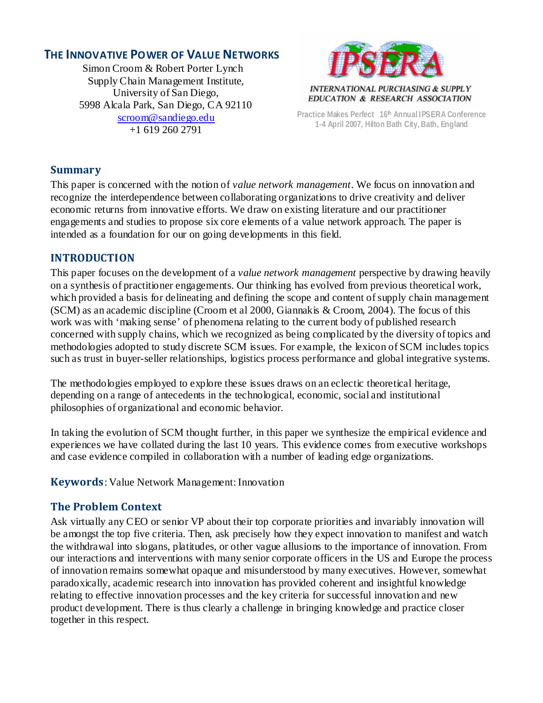# **THE INNOVATIVE POWER OF VALUE NETWORKS**

Simon Croom & Robert Porter Lynch Supply Chain Management Institute, University of San Diego, 5998 Alcala Park, San Diego, CA 92110 [scroom@sandiego.edu](mailto:scroom@sandiego.edu) +1 619 260 2791



**Practice Makes Perfect 16th Annual IPSERA Conference 1-4 April 2007, Hilton Bath City, Bath, England**

#### **Summary**

This paper is concerned with the notion of *value network management*. We focus on innovation and recognize the interdependence between collaborating organizations to drive creativity and deliver economic returns from innovative efforts. We draw on existing literature and our practitioner engagements and studies to propose six core elements of a value network approach. The paper is intended as a foundation for our on going developments in this field.

### **INTRODUCTION**

This paper focuses on the development of a *value network management* perspective by drawing heavily on a synthesis of practitioner engagements. Our thinking has evolved from previous theoretical work, which provided a basis for delineating and defining the scope and content of supply chain management (SCM) as an academic discipline (Croom et al 2000, Giannakis & Croom, 2004). The focus of this work was with 'making sense' of phenomena relating to the current body of published research concerned with supply chains, which we recognized as being complicated by the diversity of topics and methodologies adopted to study discrete SCM issues. For example, the lexicon of SCM includes topics such as trust in buyer-seller relationships, logistics process performance and global integrative systems.

The methodologies employed to explore these issues draws on an eclectic theoretical heritage, depending on a range of antecedents in the technological, economic, social and institutional philosophies of organizational and economic behavior.

In taking the evolution of SCM thought further, in this paper we synthesize the empirical evidence and experiences we have collated during the last 10 years. This evidence comes from executive workshops and case evidence compiled in collaboration with a number of leading edge organizations.

**Keywords**: Value Network Management: Innovation

### **The Problem Context**

Ask virtually any CEO or senior VP about their top corporate priorities and invariably innovation will be amongst the top five criteria. Then, ask precisely how they expect innovation to manifest and watch the withdrawal into slogans, platitudes, or other vague allusions to the importance of innovation. From our interactions and interventions with many senior corporate officers in the US and Europe the process of innovation remains somewhat opaque and misunderstood by many executives. However, somewhat paradoxically, academic research into innovation has provided coherent and insightful knowledge relating to effective innovation processes and the key criteria for successful innovation and new product development. There is thus clearly a challenge in bringing knowledge and practice closer together in this respect.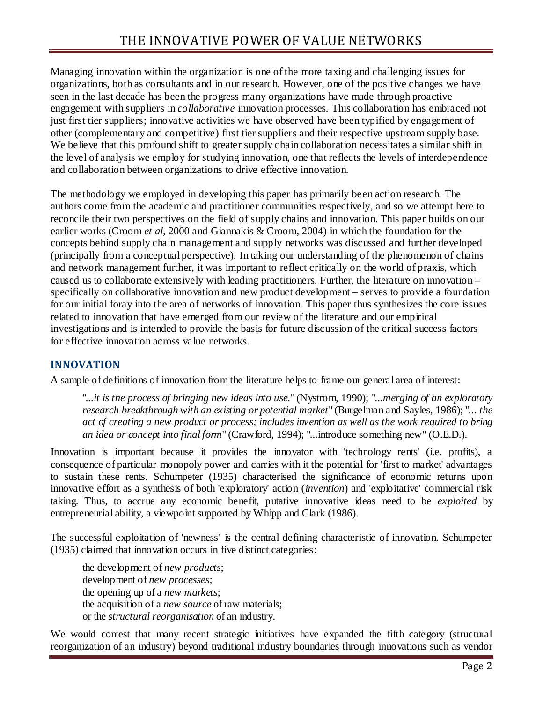Managing innovation within the organization is one of the more taxing and challenging issues for organizations, both as consultants and in our research. However, one of the positive changes we have seen in the last decade has been the progress many organizations have made through proactive engagement with suppliers in *collaborative* innovation processes. This collaboration has embraced not just first tier suppliers; innovative activities we have observed have been typified by engagement of other (complementary and competitive) first tier suppliers and their respective upstream supply base. We believe that this profound shift to greater supply chain collaboration necessitates a similar shift in the level of analysis we employ for studying innovation, one that reflects the levels of interdependence and collaboration between organizations to drive effective innovation.

The methodology we employed in developing this paper has primarily been action research. The authors come from the academic and practitioner communities respectively, and so we attempt here to reconcile their two perspectives on the field of supply chains and innovation. This paper builds on our earlier works (Croom *et al,* 2000 and Giannakis & Croom, 2004) in which the foundation for the concepts behind supply chain management and supply networks was discussed and further developed (principally from a conceptual perspective). In taking our understanding of the phenomenon of chains and network management further, it was important to reflect critically on the world of praxis, which caused us to collaborate extensively with leading practitioners. Further, the literature on innovation – specifically on collaborative innovation and new product development – serves to provide a foundation for our initial foray into the area of networks of innovation. This paper thus synthesizes the core issues related to innovation that have emerged from our review of the literature and our empirical investigations and is intended to provide the basis for future discussion of the critical success factors for effective innovation across value networks.

## **INNOVATION**

A sample of definitions of innovation from the literature helps to frame our general area of interest:

"*...it is the process of bringing new ideas into use.*" (Nystrom, 1990); "*...merging of an exploratory research breakthrough with an existing or potential market*" (Burgelman and Sayles, 1986); "*... the act of creating a new product or process; includes invention as well as the work required to bring an idea or concept into final form*" (Crawford, 1994); "...introduce something new" (O.E.D.).

Innovation is important because it provides the innovator with 'technology rents' (i.e. profits), a consequence of particular monopoly power and carries with it the potential for 'first to market' advantages to sustain these rents. Schumpeter (1935) characterised the significance of economic returns upon innovative effort as a synthesis of both 'exploratory' action (*invention*) and 'exploitative' commercial risk taking. Thus, to accrue any economic benefit, putative innovative ideas need to be *exploited* by entrepreneurial ability, a viewpoint supported by Whipp and Clark (1986).

The successful exploitation of 'newness' is the central defining characteristic of innovation. Schumpeter (1935) claimed that innovation occurs in five distinct categories:

the development of *new products*; development of *new processes*; the opening up of a *new markets*; the acquisition of a *new source* of raw materials; or the *structural reorganisation* of an industry.

We would contest that many recent strategic initiatives have expanded the fifth category (structural reorganization of an industry) beyond traditional industry boundaries through innovations such as vendor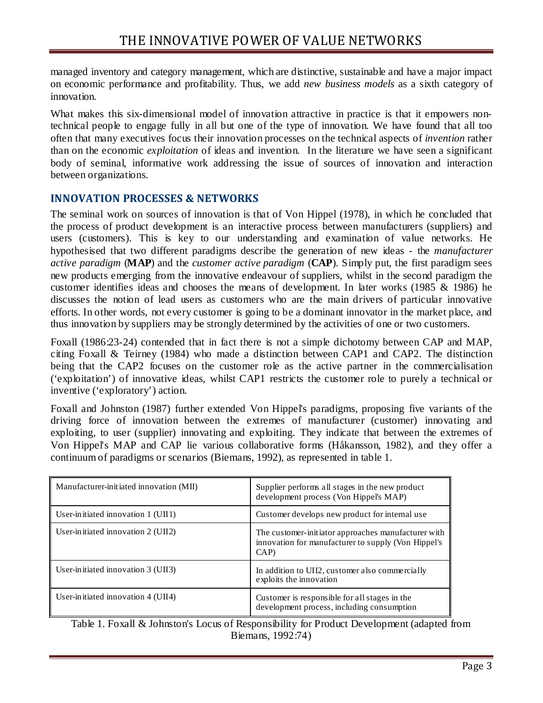managed inventory and category management, which are distinctive, sustainable and have a major impact on economic performance and profitability. Thus, we add *new business models* as a sixth category of innovation.

What makes this six-dimensional model of innovation attractive in practice is that it empowers nontechnical people to engage fully in all but one of the type of innovation. We have found that all too often that many executives focus their innovation processes on the technical aspects of *invention* rather than on the economic *exploitation* of ideas and invention. In the literature we have seen a significant body of seminal, informative work addressing the issue of sources of innovation and interaction between organizations.

### **INNOVATION PROCESSES & NETWORKS**

The seminal work on sources of innovation is that of Von Hippel (1978), in which he concluded that the process of product development is an interactive process between manufacturers (suppliers) and users (customers). This is key to our understanding and examination of value networks. He hypothesised that two different paradigms describe the generation of new ideas - the *manufacturer active paradigm* (**MAP**) and the *customer active paradigm* (**CAP**). Simply put, the first paradigm sees new products emerging from the innovative endeavour of suppliers, whilst in the second paradigm the customer identifies ideas and chooses the means of development. In later works (1985 & 1986) he discusses the notion of lead users as customers who are the main drivers of particular innovative efforts. In other words, not every customer is going to be a dominant innovator in the market place, and thus innovation by suppliers may be strongly determined by the activities of one or two customers.

Foxall (1986:23-24) contended that in fact there is not a simple dichotomy between CAP and MAP, citing Foxall & Teirney (1984) who made a distinction between CAP1 and CAP2. The distinction being that the CAP2 focuses on the customer role as the active partner in the commercialisation ('exploitation') of innovative ideas, whilst CAP1 restricts the customer role to purely a technical or inventive ('exploratory') action.

Foxall and Johnston (1987) further extended Von Hippel's paradigms, proposing five variants of the driving force of innovation between the extremes of manufacturer (customer) innovating and exploiting, to user (supplier) innovating and exploiting. They indicate that between the extremes of Von Hippel's MAP and CAP lie various collaborative forms (Håkansson, 1982), and they offer a continuum of paradigms or scenarios (Biemans, 1992), as represented in table 1.

| Manufacturer-initiated innovation (MII)      | Supplier performs all stages in the new product<br>development process (Von Hippel's MAP)                          |
|----------------------------------------------|--------------------------------------------------------------------------------------------------------------------|
| User-initiated innovation $1$ (UII1)         | Customer develops new product for internal use                                                                     |
| User-initiated innovation $2$ (UII2)         | The customer-initiator approaches manufacturer with<br>innovation for manufacturer to supply (Von Hippel's<br>CAP) |
| User-initiated innovation $3 \times 10^{13}$ | In addition to UII2, customer also commercially<br>exploits the innovation                                         |
| User-initiated innovation $4 \,(UII4)$       | Customer is responsible for all stages in the<br>development process, including consumption                        |

Table 1. Foxall & Johnston's Locus of Responsibility for Product Development (adapted from Biemans, 1992:74)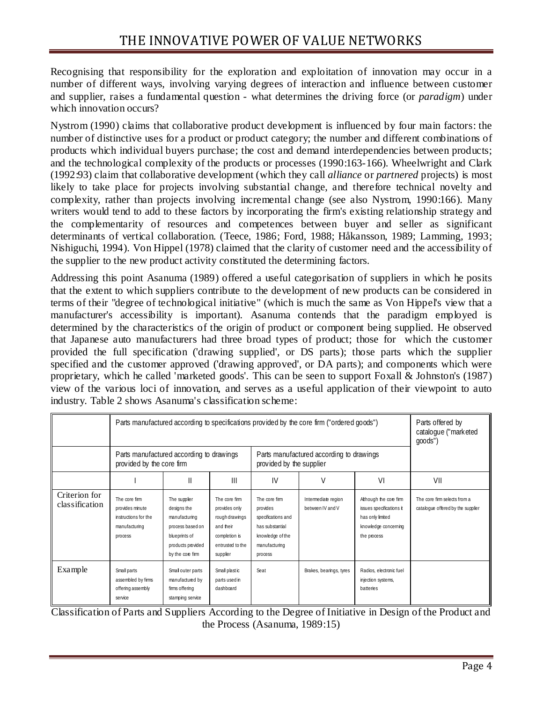Recognising that responsibility for the exploration and exploitation of innovation may occur in a number of different ways, involving varying degrees of interaction and influence between customer and supplier, raises a fundamental question - what determines the driving force (or *paradigm*) under which innovation occurs?

Nystrom (1990) claims that collaborative product development is influenced by four main factors: the number of distinctive uses for a product or product category; the number and different combinations of products which individual buyers purchase; the cost and demand interdependencies between products; and the technological complexity of the products or processes (1990:163-166). Wheelwright and Clark (1992:93) claim that collaborative development (which they call *alliance* or *partnered* projects) is most likely to take place for projects involving substantial change, and therefore technical novelty and complexity, rather than projects involving incremental change (see also Nystrom, 1990:166). Many writers would tend to add to these factors by incorporating the firm's existing relationship strategy and the complementarity of resources and competences between buyer and seller as significant determinants of vertical collaboration. (Teece, 1986; Ford, 1988; Håkansson, 1989; Lamming, 1993; Nishiguchi, 1994). Von Hippel (1978) claimed that the clarity of customer need and the accessibility of the supplier to the new product activity constituted the determining factors.

Addressing this point Asanuma (1989) offered a useful categorisation of suppliers in which he posits that the extent to which suppliers contribute to the development of new products can be considered in terms of their "degree of technological initiative" (which is much the same as Von Hippel's view that a manufacturer's accessibility is important). Asanuma contends that the paradigm employed is determined by the characteristics of the origin of product or component being supplied. He observed that Japanese auto manufacturers had three broad types of product; those for which the customer provided the full specification ('drawing supplied', or DS parts); those parts which the supplier specified and the customer approved ('drawing approved', or DA parts); and components which were proprietary, which he called 'marketed goods'. This can be seen to support Foxall & Johnston's (1987) view of the various loci of innovation, and serves as a useful application of their viewpoint to auto industry. Table 2 shows Asanuma's classification scheme:

|                                 | Parts manufactured according to specifications provided by the core firm ("ordered goods")<br>Parts manufactured according to drawings<br>Parts manufactured according to drawings<br>provided by the core firm<br>provided by the supplier |                                                                                                                            |                                                                                                                |                                                                                                                    |                                         |                                                                                                               | Parts offered by<br>catalogue ("marketed"<br>goods")              |
|---------------------------------|---------------------------------------------------------------------------------------------------------------------------------------------------------------------------------------------------------------------------------------------|----------------------------------------------------------------------------------------------------------------------------|----------------------------------------------------------------------------------------------------------------|--------------------------------------------------------------------------------------------------------------------|-----------------------------------------|---------------------------------------------------------------------------------------------------------------|-------------------------------------------------------------------|
|                                 |                                                                                                                                                                                                                                             | Ш                                                                                                                          | $\mathbf{III}$                                                                                                 | IV                                                                                                                 | V                                       | VI                                                                                                            | VII                                                               |
| Criterion for<br>classification | The core firm<br>provides minute<br>instructions for the<br>manufacturing<br>process                                                                                                                                                        | The supplier<br>designs the<br>manufacturing<br>process based on<br>blueprints of<br>products provided<br>by the core firm | The core firm<br>provides only<br>rough drawings<br>and their<br>completion is<br>entrusted to the<br>supplier | The core firm<br>provides<br>specifications and<br>has substantial<br>knowledge of the<br>manufacturing<br>process | Intermediate region<br>between IV and V | Although the core firm<br>issues specifications it<br>has only limited<br>knowledge concerning<br>the process | The core firm selects from a<br>catalogue offered by the supplier |
| Example                         | Small parts<br>assembled by firms<br>offering assembly<br>service                                                                                                                                                                           | Small outer parts<br>manufactured by<br>firms offering<br>stamping service                                                 | Small plast ic<br>parts used in<br>dashboard                                                                   | Seat                                                                                                               | Brakes, bearings, tyres                 | Radios, electronic fuel<br>injection systems,<br>batteries                                                    |                                                                   |

Classification of Parts and Suppliers According to the Degree of Initiative in Design of the Product and the Process (Asanuma, 1989:15)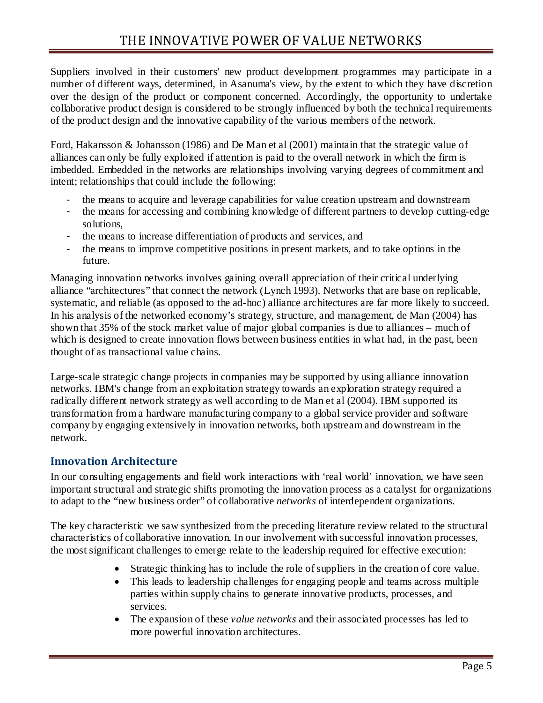Suppliers involved in their customers' new product development programmes may participate in a number of different ways, determined, in Asanuma's view, by the extent to which they have discretion over the design of the product or component concerned. Accordingly, the opportunity to undertake collaborative product design is considered to be strongly influenced by both the technical requirements of the product design and the innovative capability of the various members of the network.

Ford, Hakansson & Johansson (1986) and De Man et al (2001) maintain that the strategic value of alliances can only be fully exploited if attention is paid to the overall network in which the firm is imbedded. Embedded in the networks are relationships involving varying degrees of commitment and intent; relationships that could include the following:

- the means to acquire and leverage capabilities for value creation upstream and downstream
- the means for accessing and combining knowledge of different partners to develop cutting-edge solutions,
- the means to increase differentiation of products and services, and
- the means to improve competitive positions in present markets, and to take options in the future.

Managing innovation networks involves gaining overall appreciation of their critical underlying alliance "architectures" that connect the network (Lynch 1993). Networks that are base on replicable, systematic, and reliable (as opposed to the ad-hoc) alliance architectures are far more likely to succeed. In his analysis of the networked economy's strategy, structure, and management, de Man (2004) has shown that 35% of the stock market value of major global companies is due to alliances – much of which is designed to create innovation flows between business entities in what had, in the past, been thought of as transactional value chains.

Large-scale strategic change projects in companies may be supported by using alliance innovation networks. IBM's change from an exploitation strategy towards an exploration strategy required a radically different network strategy as well according to de Man et al (2004). IBM supported its transformation from a hardware manufacturing company to a global service provider and software company by engaging extensively in innovation networks, both upstream and downstream in the network.

## **Innovation Architecture**

In our consulting engagements and field work interactions with 'real world' innovation, we have seen important structural and strategic shifts promoting the innovation process as a catalyst for organizations to adapt to the "new business order" of collaborative *networks* of interdependent organizations.

The key characteristic we saw synthesized from the preceding literature review related to the structural characteristics of collaborative innovation. In our involvement with successful innovation processes, the most significant challenges to emerge relate to the leadership required for effective execution:

- Strategic thinking has to include the role of suppliers in the creation of core value.
- This leads to leadership challenges for engaging people and teams across multiple parties within supply chains to generate innovative products, processes, and services.
- The expansion of these *value networks* and their associated processes has led to more powerful innovation architectures.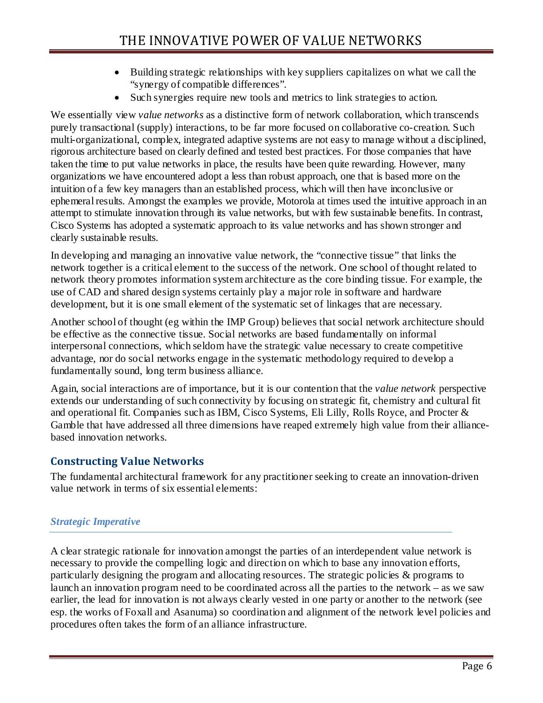- Building strategic relationships with key suppliers capitalizes on what we call the "synergy of compatible differences".
- Such synergies require new tools and metrics to link strategies to action.

We essentially view *value networks* as a distinctive form of network collaboration, which transcends purely transactional (supply) interactions, to be far more focused on collaborative co-creation. Such multi-organizational, complex, integrated adaptive systems are not easy to manage without a disciplined, rigorous architecture based on clearly defined and tested best practices. For those companies that have taken the time to put value networks in place, the results have been quite rewarding. However, many organizations we have encountered adopt a less than robust approach, one that is based more on the intuition of a few key managers than an established process, which will then have inconclusive or ephemeral results. Amongst the examples we provide, Motorola at times used the intuitive approach in an attempt to stimulate innovation through its value networks, but with few sustainable benefits. In contrast, Cisco Systems has adopted a systematic approach to its value networks and has shown stronger and clearly sustainable results.

In developing and managing an innovative value network, the "connective tissue" that links the network together is a critical element to the success of the network. One school of thought related to network theory promotes information system architecture as the core binding tissue. For example, the use of CAD and shared design systems certainly play a major role in software and hardware development, but it is one small element of the systematic set of linkages that are necessary.

Another school of thought (eg within the IMP Group) believes that social network architecture should be effective as the connective tissue. Social networks are based fundamentally on informal interpersonal connections, which seldom have the strategic value necessary to create competitive advantage, nor do social networks engage in the systematic methodology required to develop a fundamentally sound, long term business alliance.

Again, social interactions are of importance, but it is our contention that the *value network* perspective extends our understanding of such connectivity by focusing on strategic fit, chemistry and cultural fit and operational fit. Companies such as IBM, Cisco Systems, Eli Lilly, Rolls Royce, and Procter & Gamble that have addressed all three dimensions have reaped extremely high value from their alliancebased innovation networks.

### **Constructing Value Networks**

The fundamental architectural framework for any practitioner seeking to create an innovation-driven value network in terms of six essential elements:

#### *Strategic Imperative*

A clear strategic rationale for innovation amongst the parties of an interdependent value network is necessary to provide the compelling logic and direction on which to base any innovation efforts, particularly designing the program and allocating resources. The strategic policies & programs to launch an innovation program need to be coordinated across all the parties to the network – as we saw earlier, the lead for innovation is not always clearly vested in one party or another to the network (see esp. the works of Foxall and Asanuma) so coordination and alignment of the network level policies and procedures often takes the form of an alliance infrastructure.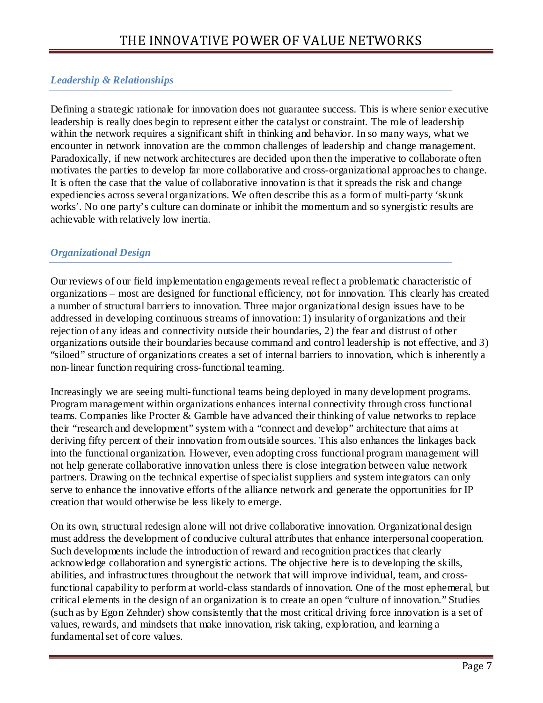## *Leadership & Relationships*

Defining a strategic rationale for innovation does not guarantee success. This is where senior executive leadership is really does begin to represent either the catalyst or constraint. The role of leadership within the network requires a significant shift in thinking and behavior. In so many ways, what we encounter in network innovation are the common challenges of leadership and change management. Paradoxically, if new network architectures are decided upon then the imperative to collaborate often motivates the parties to develop far more collaborative and cross-organizational approaches to change. It is often the case that the value of collaborative innovation is that it spreads the risk and change expediencies across several organizations. We often describe this as a form of multi-party 'skunk works'. No one party's culture can dominate or inhibit the momentum and so synergistic results are achievable with relatively low inertia.

#### *Organizational Design*

Our reviews of our field implementation engagements reveal reflect a problematic characteristic of organizations – most are designed for functional efficiency, not for innovation. This clearly has created a number of structural barriers to innovation. Three major organizational design issues have to be addressed in developing continuous streams of innovation: 1) insularity of organizations and their rejection of any ideas and connectivity outside their boundaries, 2) the fear and distrust of other organizations outside their boundaries because command and control leadership is not effective, and 3) "siloed" structure of organizations creates a set of internal barriers to innovation, which is inherently a non-linear function requiring cross-functional teaming.

Increasingly we are seeing multi-functional teams being deployed in many development programs. Program management within organizations enhances internal connectivity through cross functional teams. Companies like Procter & Gamble have advanced their thinking of value networks to replace their "research and development" system with a "connect and develop" architecture that aims at deriving fifty percent of their innovation from outside sources. This also enhances the linkages back into the functional organization. However, even adopting cross functional program management will not help generate collaborative innovation unless there is close integration between value network partners. Drawing on the technical expertise of specialist suppliers and system integrators can only serve to enhance the innovative efforts of the alliance network and generate the opportunities for IP creation that would otherwise be less likely to emerge.

On its own, structural redesign alone will not drive collaborative innovation. Organizational design must address the development of conducive cultural attributes that enhance interpersonal cooperation. Such developments include the introduction of reward and recognition practices that clearly acknowledge collaboration and synergistic actions. The objective here is to developing the skills, abilities, and infrastructures throughout the network that will improve individual, team, and crossfunctional capability to perform at world-class standards of innovation. One of the most ephemeral, but critical elements in the design of an organization is to create an open "culture of innovation." Studies (such as by Egon Zehnder) show consistently that the most critical driving force innovation is a set of values, rewards, and mindsets that make innovation, risk taking, exploration, and learning a fundamental set of core values.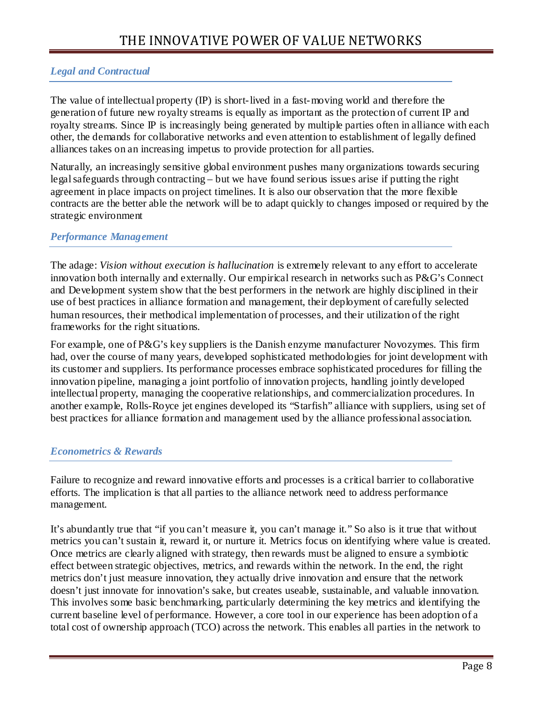## *Legal and Contractual*

The value of intellectual property (IP) is short-lived in a fast-moving world and therefore the generation of future new royalty streams is equally as important as the protection of current IP and royalty streams. Since IP is increasingly being generated by multiple parties often in alliance with each other, the demands for collaborative networks and even attention to establishment of legally defined alliances takes on an increasing impetus to provide protection for all parties.

Naturally, an increasingly sensitive global environment pushes many organizations towards securing legal safeguards through contracting – but we have found serious issues arise if putting the right agreement in place impacts on project timelines. It is also our observation that the more flexible contracts are the better able the network will be to adapt quickly to changes imposed or required by the strategic environment

### *Performance Management*

The adage: *Vision without execution is hallucination* is extremely relevant to any effort to accelerate innovation both internally and externally. Our empirical research in networks such as P&G's Connect and Development system show that the best performers in the network are highly disciplined in their use of best practices in alliance formation and management, their deployment of carefully selected human resources, their methodical implementation of processes, and their utilization of the right frameworks for the right situations.

For example, one of P&G's key suppliers is the Danish enzyme manufacturer Novozymes. This firm had, over the course of many years, developed sophisticated methodologies for joint development with its customer and suppliers. Its performance processes embrace sophisticated procedures for filling the innovation pipeline, managing a joint portfolio of innovation projects, handling jointly developed intellectual property, managing the cooperative relationships, and commercialization procedures. In another example, Rolls-Royce jet engines developed its "Starfish" alliance with suppliers, using set of best practices for alliance formation and management used by the alliance professional association.

#### *Econometrics & Rewards*

Failure to recognize and reward innovative efforts and processes is a critical barrier to collaborative efforts. The implication is that all parties to the alliance network need to address performance management.

It's abundantly true that "if you can't measure it, you can't manage it." So also is it true that without metrics you can't sustain it, reward it, or nurture it. Metrics focus on identifying where value is created. Once metrics are clearly aligned with strategy, then rewards must be aligned to ensure a symbiotic effect between strategic objectives, metrics, and rewards within the network. In the end, the right metrics don't just measure innovation, they actually drive innovation and ensure that the network doesn't just innovate for innovation's sake, but creates useable, sustainable, and valuable innovation. This involves some basic benchmarking, particularly determining the key metrics and identifying the current baseline level of performance. However, a core tool in our experience has been adoption of a total cost of ownership approach (TCO) across the network. This enables all parties in the network to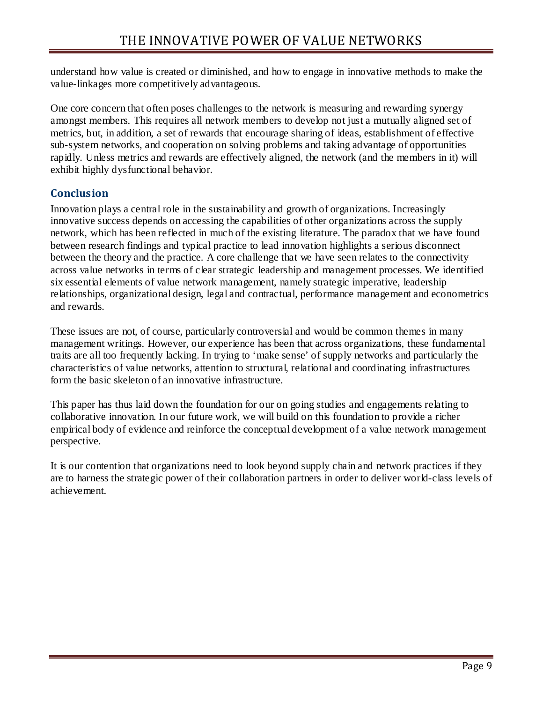understand how value is created or diminished, and how to engage in innovative methods to make the value-linkages more competitively advantageous.

One core concern that often poses challenges to the network is measuring and rewarding synergy amongst members. This requires all network members to develop not just a mutually aligned set of metrics, but, in addition, a set of rewards that encourage sharing of ideas, establishment of effective sub-system networks, and cooperation on solving problems and taking advantage of opportunities rapidly. Unless metrics and rewards are effectively aligned, the network (and the members in it) will exhibit highly dysfunctional behavior.

## **Conclusion**

Innovation plays a central role in the sustainability and growth of organizations. Increasingly innovative success depends on accessing the capabilities of other organizations across the supply network, which has been reflected in much of the existing literature. The paradox that we have found between research findings and typical practice to lead innovation highlights a serious disconnect between the theory and the practice. A core challenge that we have seen relates to the connectivity across value networks in terms of clear strategic leadership and management processes. We identified six essential elements of value network management, namely strategic imperative, leadership relationships, organizational design, legal and contractual, performance management and econometrics and rewards.

These issues are not, of course, particularly controversial and would be common themes in many management writings. However, our experience has been that across organizations, these fundamental traits are all too frequently lacking. In trying to 'make sense' of supply networks and particularly the characteristics of value networks, attention to structural, relational and coordinating infrastructures form the basic skeleton of an innovative infrastructure.

This paper has thus laid down the foundation for our on going studies and engagements relating to collaborative innovation. In our future work, we will build on this foundation to provide a richer empirical body of evidence and reinforce the conceptual development of a value network management perspective.

It is our contention that organizations need to look beyond supply chain and network practices if they are to harness the strategic power of their collaboration partners in order to deliver world-class levels of achievement.